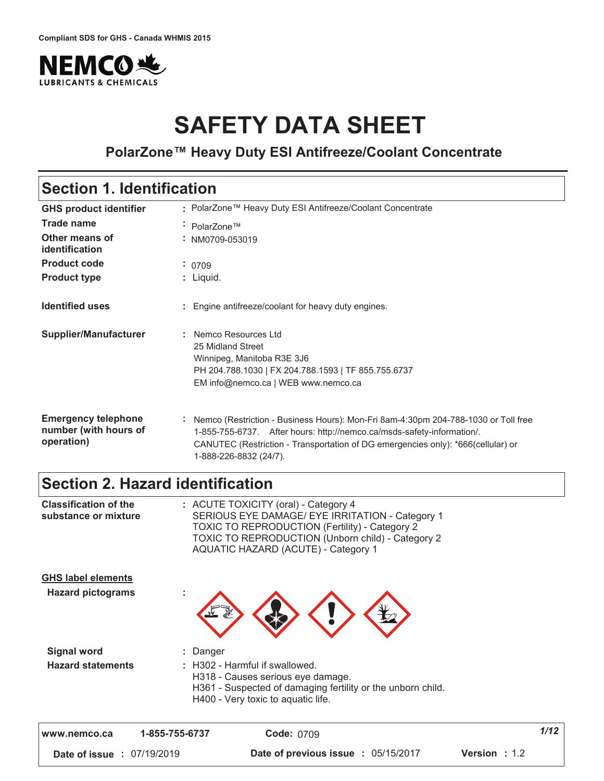

# **SAFETY DATA SHEET**

**PolarZone™ Heavy Duty ESI Antifreeze/Coolant Concentrate**

### **Section 1. Identification**

| <b>GHS product identifier</b>                                     | : PolarZone™ Heavy Duty ESI Antifreeze/Coolant Concentrate                                                                                                                                                                                                                 |
|-------------------------------------------------------------------|----------------------------------------------------------------------------------------------------------------------------------------------------------------------------------------------------------------------------------------------------------------------------|
| <b>Trade name</b>                                                 | ÷ PolarZone™                                                                                                                                                                                                                                                               |
| Other means of<br>identification                                  | $:$ NM0709-053019                                                                                                                                                                                                                                                          |
| <b>Product code</b>                                               | : 0709                                                                                                                                                                                                                                                                     |
| <b>Product type</b>                                               | : Liquid.                                                                                                                                                                                                                                                                  |
| <b>Identified uses</b>                                            | Engine antifreeze/coolant for heavy duty engines.                                                                                                                                                                                                                          |
| <b>Supplier/Manufacturer</b>                                      | Nemco Resources Ltd<br>25 Midland Street<br>Winnipeg, Manitoba R3E 3J6<br>PH 204.788.1030   FX 204.788.1593   TF 855.755.6737<br>EM info@nemco.ca   WEB www.nemco.ca                                                                                                       |
| <b>Emergency telephone</b><br>number (with hours of<br>operation) | Nemco (Restriction - Business Hours): Mon-Fri 8am-4:30pm 204-788-1030 or Toll free<br>1-855-755-6737. After hours: http://nemco.ca/msds-safety-information/.<br>CANUTEC (Restriction - Transportation of DG emergencies only): *666(cellular) or<br>1-888-226-8832 (24/7). |

### **Section 2. Hazard identification**

| www.nemco.ca                                          | 1-855-755-6737<br><b>Code: 0709</b>                                                                                                                                                                                                                 | 1/12 |
|-------------------------------------------------------|-----------------------------------------------------------------------------------------------------------------------------------------------------------------------------------------------------------------------------------------------------|------|
| <b>Hazard statements</b>                              | : H302 - Harmful if swallowed.<br>H318 - Causes serious eye damage.<br>H361 - Suspected of damaging fertility or the unborn child.<br>H400 - Very toxic to aquatic life.                                                                            |      |
| <b>Signal word</b>                                    | : Danger                                                                                                                                                                                                                                            |      |
| <b>GHS label elements</b><br><b>Hazard pictograms</b> |                                                                                                                                                                                                                                                     |      |
| <b>Classification of the</b><br>substance or mixture  | : ACUTE TOXICITY (oral) - Category 4<br>SERIOUS EYE DAMAGE/ EYE IRRITATION - Category 1<br><b>TOXIC TO REPRODUCTION (Fertility) - Category 2</b><br>TOXIC TO REPRODUCTION (Unborn child) - Category 2<br><b>AQUATIC HAZARD (ACUTE) - Category 1</b> |      |

 **#** 0:"\$9"'0\$<  **Date of previous issue : 05/15/2017 Version : 1.2**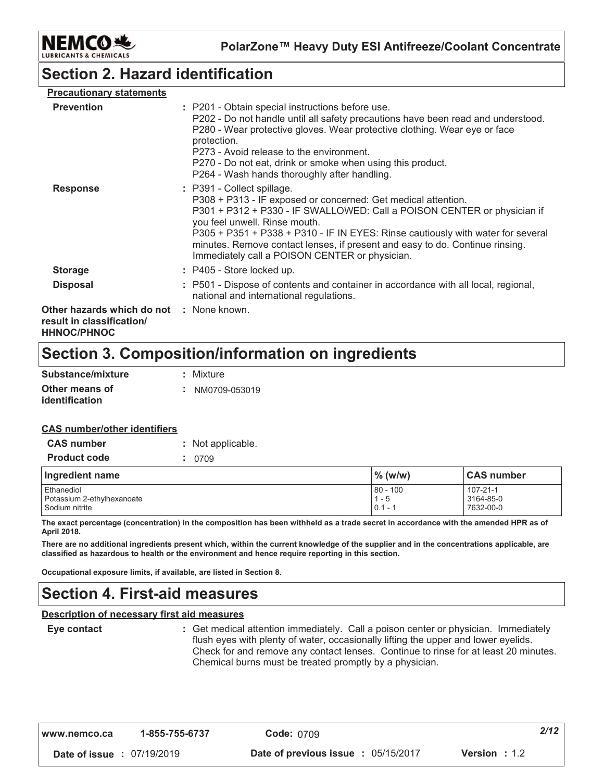

### **Section 2. Hazard identification**

| <b>Precautionary statements</b>                                                             |                                                                                                                                                                                                                                                                                                                                                                                                                              |
|---------------------------------------------------------------------------------------------|------------------------------------------------------------------------------------------------------------------------------------------------------------------------------------------------------------------------------------------------------------------------------------------------------------------------------------------------------------------------------------------------------------------------------|
| <b>Prevention</b>                                                                           | : P201 - Obtain special instructions before use.<br>P202 - Do not handle until all safety precautions have been read and understood.<br>P280 - Wear protective gloves. Wear protective clothing. Wear eye or face<br>protection.<br>P273 - Avoid release to the environment.<br>P270 - Do not eat, drink or smoke when using this product.<br>P264 - Wash hands thoroughly after handling.                                   |
| <b>Response</b>                                                                             | : P391 - Collect spillage.<br>P308 + P313 - IF exposed or concerned: Get medical attention.<br>P301 + P312 + P330 - IF SWALLOWED: Call a POISON CENTER or physician if<br>you feel unwell. Rinse mouth.<br>P305 + P351 + P338 + P310 - IF IN EYES: Rinse cautiously with water for several<br>minutes. Remove contact lenses, if present and easy to do. Continue rinsing.<br>Immediately call a POISON CENTER or physician. |
| <b>Storage</b>                                                                              | $:$ P405 - Store locked up.                                                                                                                                                                                                                                                                                                                                                                                                  |
| <b>Disposal</b>                                                                             | : P501 - Dispose of contents and container in accordance with all local, regional,<br>national and international regulations.                                                                                                                                                                                                                                                                                                |
| Other hazards which do not : None known.<br>result in classification/<br><b>HHNOC/PHNOC</b> |                                                                                                                                                                                                                                                                                                                                                                                                                              |

### Section 3. Composition/information on ingredients

| Substance/mixture                | : Mixture       |
|----------------------------------|-----------------|
| Other means of<br>identification | : NM0709-053019 |

#### **CAS number/other identifiers**

| <b>CAS number</b>                                          | : Not applicable. |                                    |                                    |  |  |
|------------------------------------------------------------|-------------------|------------------------------------|------------------------------------|--|--|
| <b>Product code</b>                                        | 0709              |                                    |                                    |  |  |
| Ingredient name                                            |                   | $\%$ (w/w)                         | <b>CAS</b> number                  |  |  |
| Ethanediol<br>Potassium 2-ethylhexanoate<br>Sodium nitrite |                   | $80 - 100$<br>$1 - 5$<br>$0.1 - 7$ | 107-21-1<br>3164-85-0<br>7632-00-0 |  |  |

The exact percentage (concentration) in the composition has been withheld as a trade secret in accordance with the amended HPR as of April 2018.

There are no additional ingredients present which, within the current knowledge of the supplier and in the concentrations applicable, are classified as hazardous to health or the environment and hence require reporting in this section.

Occupational exposure limits, if available, are listed in Section 8.

### **Section 4. First-aid measures**

#### **Description of necessary first aid measures**

Eye contact

: Get medical attention immediately. Call a poison center or physician. Immediately flush eyes with plenty of water, occasionally lifting the upper and lower eyelids. Check for and remove any contact lenses. Continue to rinse for at least 20 minutes. Chemical burns must be treated promptly by a physician.

Date of issue : 07/19/2019

Date of previous issue : 05/15/2017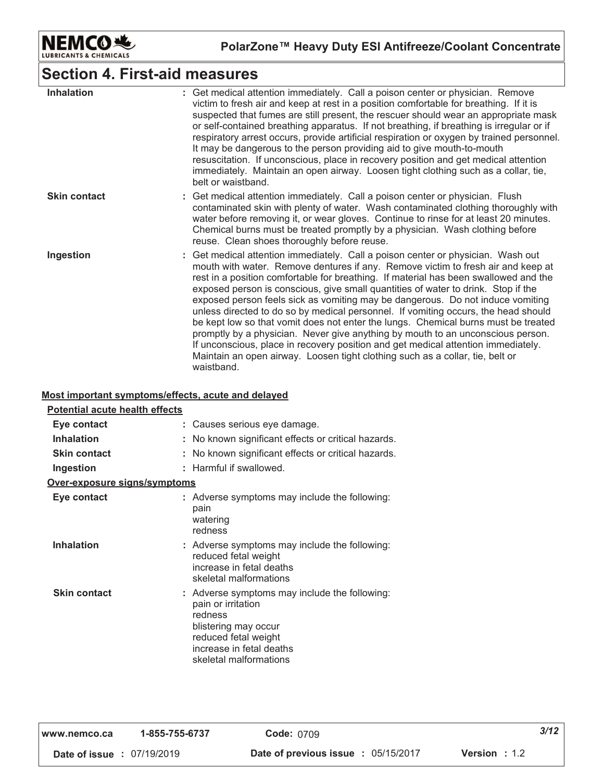

### **Section 4. First-aid measures**

| <b>Inhalation</b>   | : Get medical attention immediately. Call a poison center or physician. Remove<br>victim to fresh air and keep at rest in a position comfortable for breathing. If it is<br>suspected that fumes are still present, the rescuer should wear an appropriate mask<br>or self-contained breathing apparatus. If not breathing, if breathing is irregular or if<br>respiratory arrest occurs, provide artificial respiration or oxygen by trained personnel.<br>It may be dangerous to the person providing aid to give mouth-to-mouth<br>resuscitation. If unconscious, place in recovery position and get medical attention<br>immediately. Maintain an open airway. Loosen tight clothing such as a collar, tie,<br>belt or waistband.                                                                                                                                                  |
|---------------------|----------------------------------------------------------------------------------------------------------------------------------------------------------------------------------------------------------------------------------------------------------------------------------------------------------------------------------------------------------------------------------------------------------------------------------------------------------------------------------------------------------------------------------------------------------------------------------------------------------------------------------------------------------------------------------------------------------------------------------------------------------------------------------------------------------------------------------------------------------------------------------------|
| <b>Skin contact</b> | : Get medical attention immediately. Call a poison center or physician. Flush<br>contaminated skin with plenty of water. Wash contaminated clothing thoroughly with<br>water before removing it, or wear gloves. Continue to rinse for at least 20 minutes.<br>Chemical burns must be treated promptly by a physician. Wash clothing before<br>reuse. Clean shoes thoroughly before reuse.                                                                                                                                                                                                                                                                                                                                                                                                                                                                                             |
| Ingestion           | : Get medical attention immediately. Call a poison center or physician. Wash out<br>mouth with water. Remove dentures if any. Remove victim to fresh air and keep at<br>rest in a position comfortable for breathing. If material has been swallowed and the<br>exposed person is conscious, give small quantities of water to drink. Stop if the<br>exposed person feels sick as vomiting may be dangerous. Do not induce vomiting<br>unless directed to do so by medical personnel. If vomiting occurs, the head should<br>be kept low so that vomit does not enter the lungs. Chemical burns must be treated<br>promptly by a physician. Never give anything by mouth to an unconscious person.<br>If unconscious, place in recovery position and get medical attention immediately.<br>Maintain an open airway. Loosen tight clothing such as a collar, tie, belt or<br>waistband. |

#### <u>**<u>Most important symptoms/effects, acute and delayed</u>**</u>

| <b>Potential acute health effects</b> |                                                                                                                                                                                      |
|---------------------------------------|--------------------------------------------------------------------------------------------------------------------------------------------------------------------------------------|
| Eye contact                           | Causes serious eye damage.                                                                                                                                                           |
| Inhalation                            | No known significant effects or critical hazards.                                                                                                                                    |
| <b>Skin contact</b>                   | No known significant effects or critical hazards.                                                                                                                                    |
| Ingestion                             | : Harmful if swallowed.                                                                                                                                                              |
| Over-exposure signs/symptoms          |                                                                                                                                                                                      |
| Eye contact                           | : Adverse symptoms may include the following:<br>pain<br>watering<br>redness                                                                                                         |
| <b>Inhalation</b>                     | : Adverse symptoms may include the following:<br>reduced fetal weight<br>increase in fetal deaths<br>skeletal malformations                                                          |
| <b>Skin contact</b>                   | : Adverse symptoms may include the following:<br>pain or irritation<br>redness<br>blistering may occur<br>reduced fetal weight<br>increase in fetal deaths<br>skeletal malformations |

| www.nemco.ca                      | 1-855-755-6737 | <b>Code: 0709</b>                   | 3/12                   |  |
|-----------------------------------|----------------|-------------------------------------|------------------------|--|
| <b>Date of issue : 07/19/2019</b> |                | Date of previous issue : 05/15/2017 | <b>Version</b> : $1.2$ |  |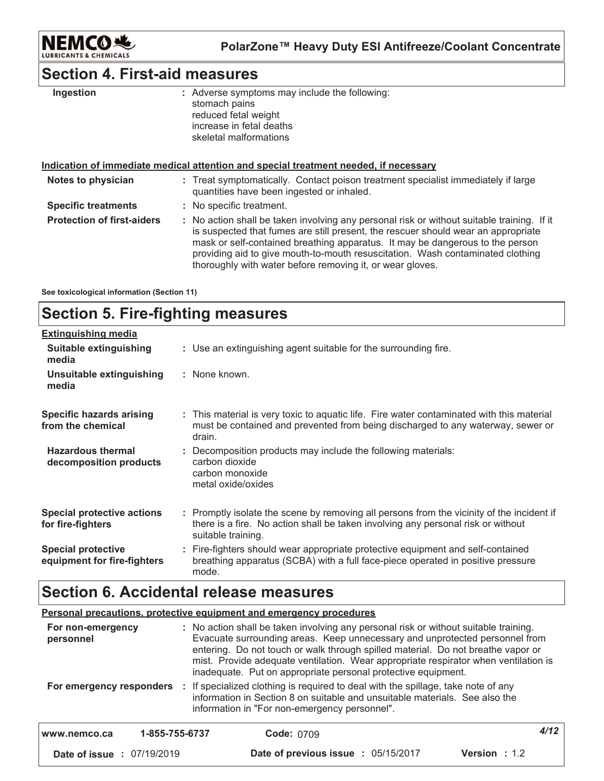

### **Section 4. First-aid measures**

| Ingestion                         | : Adverse symptoms may include the following:<br>stomach pains<br>reduced fetal weight<br>increase in fetal deaths<br>skeletal malformations                                                                                                                                                                                                                                                                    |  |
|-----------------------------------|-----------------------------------------------------------------------------------------------------------------------------------------------------------------------------------------------------------------------------------------------------------------------------------------------------------------------------------------------------------------------------------------------------------------|--|
|                                   | Indication of immediate medical attention and special treatment needed, if necessary                                                                                                                                                                                                                                                                                                                            |  |
| Notes to physician                | : Treat symptomatically. Contact poison treatment specialist immediately if large<br>quantities have been ingested or inhaled.                                                                                                                                                                                                                                                                                  |  |
| <b>Specific treatments</b>        | : No specific treatment.                                                                                                                                                                                                                                                                                                                                                                                        |  |
| <b>Protection of first-aiders</b> | : No action shall be taken involving any personal risk or without suitable training. If it<br>is suspected that fumes are still present, the rescuer should wear an appropriate<br>mask or self-contained breathing apparatus. It may be dangerous to the person<br>providing aid to give mouth-to-mouth resuscitation. Wash contaminated clothing<br>thoroughly with water before removing it, or wear gloves. |  |

See toxicological information (Section 11)

#### **Section 5. Fire-fighting measures Hazardous thermal Specific hazards arising** from the chemical : Decomposition products may include the following materials: : This material is very toxic to aquatic life. Fire water contaminated with this material must be contained and prevented from being discharged to any waterway, sewer or drain. : Use an extinguishing agent suitable for the surrounding fire. <u>Extinguishing media</u> : None known. **Suitable extinguishing** media Unsuitable extinguishing media

| HALAHUUUS LIIGHIIAI<br>decomposition products            | . Decomposition products may include the following materials.<br>carbon dioxide<br>carbon monoxide<br>metal oxide/oxides                                                                            |  |  |
|----------------------------------------------------------|-----------------------------------------------------------------------------------------------------------------------------------------------------------------------------------------------------|--|--|
| <b>Special protective actions</b><br>for fire-fighters   | : Promptly isolate the scene by removing all persons from the vicinity of the incident if<br>there is a fire. No action shall be taken involving any personal risk or without<br>suitable training. |  |  |
| <b>Special protective</b><br>equipment for fire-fighters | : Fire-fighters should wear appropriate protective equipment and self-contained<br>breathing apparatus (SCBA) with a full face-piece operated in positive pressure<br>mode.                         |  |  |

### **Section 6. Accidental release measures**

#### <u>**<u>Personal precautions, protective equipment and emergency procedures</u>**</u>

| For non-emergency<br>personnel    |                | : No action shall be taken involving any personal risk or without suitable training.<br>Evacuate surrounding areas. Keep unnecessary and unprotected personnel from<br>entering. Do not touch or walk through spilled material. Do not breathe vapor or<br>mist. Provide adequate ventilation. Wear appropriate respirator when ventilation is<br>inadequate. Put on appropriate personal protective equipment. |                      |  |
|-----------------------------------|----------------|-----------------------------------------------------------------------------------------------------------------------------------------------------------------------------------------------------------------------------------------------------------------------------------------------------------------------------------------------------------------------------------------------------------------|----------------------|--|
| For emergency responders          |                | If specialized clothing is required to deal with the spillage, take note of any<br>information in Section 8 on suitable and unsuitable materials. See also the<br>information in "For non-emergency personnel".                                                                                                                                                                                                 |                      |  |
| www.nemco.ca                      | 1-855-755-6737 | <b>Code: 0709</b>                                                                                                                                                                                                                                                                                                                                                                                               | 4/12                 |  |
| <b>Date of issue : 07/19/2019</b> |                | Date of previous issue : 05/15/2017                                                                                                                                                                                                                                                                                                                                                                             | <b>Version</b> : 1.2 |  |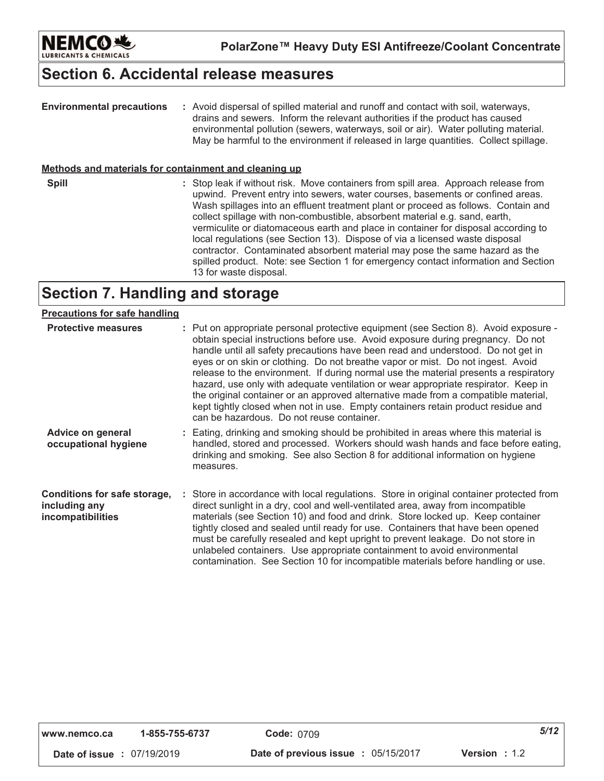

### **Section 6. Accidental release measures**

| <b>Environmental precautions</b>                             | : Avoid dispersal of spilled material and runoff and contact with soil, waterways,<br>drains and sewers. Inform the relevant authorities if the product has caused<br>environmental pollution (sewers, waterways, soil or air). Water polluting material.<br>May be harmful to the environment if released in large quantities. Collect spillage.                                                                                                                                                                                                                                                                                                                                                               |
|--------------------------------------------------------------|-----------------------------------------------------------------------------------------------------------------------------------------------------------------------------------------------------------------------------------------------------------------------------------------------------------------------------------------------------------------------------------------------------------------------------------------------------------------------------------------------------------------------------------------------------------------------------------------------------------------------------------------------------------------------------------------------------------------|
| <u>Methods and materials for containment and cleaning up</u> |                                                                                                                                                                                                                                                                                                                                                                                                                                                                                                                                                                                                                                                                                                                 |
| <b>Spill</b>                                                 | : Stop leak if without risk. Move containers from spill area. Approach release from<br>upwind. Prevent entry into sewers, water courses, basements or confined areas.<br>Wash spillages into an effluent treatment plant or proceed as follows. Contain and<br>collect spillage with non-combustible, absorbent material e.g. sand, earth,<br>vermiculite or diatomaceous earth and place in container for disposal according to<br>local regulations (see Section 13). Dispose of via a licensed waste disposal<br>contractor. Contaminated absorbent material may pose the same hazard as the<br>spilled product. Note: see Section 1 for emergency contact information and Section<br>13 for waste disposal. |
|                                                              | وموعيها والموزور بموزاله وروايا                                                                                                                                                                                                                                                                                                                                                                                                                                                                                                                                                                                                                                                                                 |

### **Section 7. Handling and storage**

#### **ive measures :** Put on appropriate personal protective equipment (see Section 8). Avoid exposure obtain special instructions before use. Avoid exposure during pregnancy. Do not handle until all safety precautions have been read and understood. Do not get in eyes or on skin or clothing. Do not breathe vapor or mist. Do not ingest. Avoid release to the environment. If during normal use the material presents a respiratory hazard, use only with adequate ventilation or wear appropriate respirator. Keep in the original container or an approved alternative made from a compatible material, kept tightly closed when not in use. Empty containers retain product residue and can be hazardous. Do not reuse container. <u>**Precautions for safe handling**</u>

| Advice on general    | : Eating, drinking and smoking should be prohibited in areas where this material is         |
|----------------------|---------------------------------------------------------------------------------------------|
| occupational hygiene | handled, stored and processed. Workers should wash hands and face before eating,            |
|                      | drinking and smoking. See also Section 8 for additional information on hygiene<br>measures. |

#### **Conditions for safe storage,** : Store in accordance with local regulations. Store in original container protected from **including any incompatibilities** direct sunlight in a dry, cool and well-ventilated area, away from incompatible materials (see Section 10) and food and drink. Store locked up. Keep container tightly closed and sealed until ready for use. Containers that have been opened must be carefully resealed and kept upright to prevent leakage. Do not store in unlabeled containers. Use appropriate containment to avoid environmental contamination. See Section 10 for incompatible materials before handling or use.

| www.nemco.ca |  | 1-855-755-6737 |
|--------------|--|----------------|
|--------------|--|----------------|

 **#** 0:"\$9"'0\$< 

**Date of previous issue : 05/15/2017 Version : 1.2**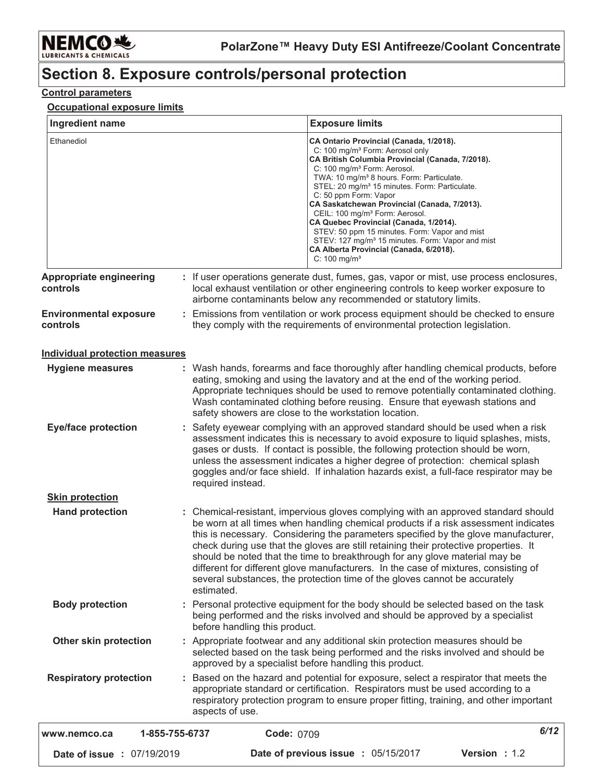

## Section 8. Exposure controls/personal protection

### **Control parameters**

### Occupational exposure limits

| Ingredient name                            | <b>Exposure limits</b>                                                                                                                                                                                                                                                                                                                                                                                                                                                                                                                                                                                                                                                 |
|--------------------------------------------|------------------------------------------------------------------------------------------------------------------------------------------------------------------------------------------------------------------------------------------------------------------------------------------------------------------------------------------------------------------------------------------------------------------------------------------------------------------------------------------------------------------------------------------------------------------------------------------------------------------------------------------------------------------------|
| Ethanediol                                 | CA Ontario Provincial (Canada, 1/2018).<br>C: 100 mg/m <sup>3</sup> Form: Aerosol only<br>CA British Columbia Provincial (Canada, 7/2018).<br>C: 100 mg/m <sup>3</sup> Form: Aerosol.<br>TWA: 10 mg/m <sup>3</sup> 8 hours. Form: Particulate.<br>STEL: 20 mg/m <sup>3</sup> 15 minutes. Form: Particulate.<br>C: 50 ppm Form: Vapor<br>CA Saskatchewan Provincial (Canada, 7/2013).<br>CEIL: 100 mg/m <sup>3</sup> Form: Aerosol.<br>CA Quebec Provincial (Canada, 1/2014).<br>STEV: 50 ppm 15 minutes. Form: Vapor and mist<br>STEV: 127 mg/m <sup>3</sup> 15 minutes. Form: Vapor and mist<br>CA Alberta Provincial (Canada, 6/2018).<br>$C: 100$ mg/m <sup>3</sup> |
| <b>Appropriate engineering</b><br>controls | : If user operations generate dust, fumes, gas, vapor or mist, use process enclosures,<br>local exhaust ventilation or other engineering controls to keep worker exposure to<br>airborne contaminants below any recommended or statutory limits.                                                                                                                                                                                                                                                                                                                                                                                                                       |
| <b>Environmental exposure</b><br>controls  | : Emissions from ventilation or work process equipment should be checked to ensure<br>they comply with the requirements of environmental protection legislation.                                                                                                                                                                                                                                                                                                                                                                                                                                                                                                       |
| <b>Individual protection measures</b>      |                                                                                                                                                                                                                                                                                                                                                                                                                                                                                                                                                                                                                                                                        |
| <b>Hygiene measures</b>                    | : Wash hands, forearms and face thoroughly after handling chemical products, before<br>eating, smoking and using the lavatory and at the end of the working period.<br>Appropriate techniques should be used to remove potentially contaminated clothing.<br>Wash contaminated clothing before reusing. Ensure that eyewash stations and<br>safety showers are close to the workstation location.                                                                                                                                                                                                                                                                      |
| <b>Eye/face protection</b>                 | : Safety eyewear complying with an approved standard should be used when a risk<br>assessment indicates this is necessary to avoid exposure to liquid splashes, mists,<br>gases or dusts. If contact is possible, the following protection should be worn,<br>unless the assessment indicates a higher degree of protection: chemical splash<br>goggles and/or face shield. If inhalation hazards exist, a full-face respirator may be<br>required instead.                                                                                                                                                                                                            |
| <b>Skin protection</b>                     |                                                                                                                                                                                                                                                                                                                                                                                                                                                                                                                                                                                                                                                                        |
| <b>Hand protection</b>                     | : Chemical-resistant, impervious gloves complying with an approved standard should<br>be worn at all times when handling chemical products if a risk assessment indicates<br>this is necessary. Considering the parameters specified by the glove manufacturer,<br>check during use that the gloves are still retaining their protective properties. It<br>should be noted that the time to breakthrough for any glove material may be<br>different for different glove manufacturers. In the case of mixtures, consisting of<br>several substances, the protection time of the gloves cannot be accurately<br>estimated.                                              |
| <b>Body protection</b>                     | : Personal protective equipment for the body should be selected based on the task<br>being performed and the risks involved and should be approved by a specialist<br>before handling this product.                                                                                                                                                                                                                                                                                                                                                                                                                                                                    |
| Other skin protection                      | : Appropriate footwear and any additional skin protection measures should be<br>selected based on the task being performed and the risks involved and should be<br>approved by a specialist before handling this product.                                                                                                                                                                                                                                                                                                                                                                                                                                              |
| <b>Respiratory protection</b>              | : Based on the hazard and potential for exposure, select a respirator that meets the<br>appropriate standard or certification. Respirators must be used according to a<br>respiratory protection program to ensure proper fitting, training, and other important<br>aspects of use.                                                                                                                                                                                                                                                                                                                                                                                    |
| www.nemco.ca                               | 6/12<br>Code: 0709<br>1-855-755-6737                                                                                                                                                                                                                                                                                                                                                                                                                                                                                                                                                                                                                                   |
| Date of issue : 07/19/2019                 | Date of previous issue : 05/15/2017<br>Version : 1.2                                                                                                                                                                                                                                                                                                                                                                                                                                                                                                                                                                                                                   |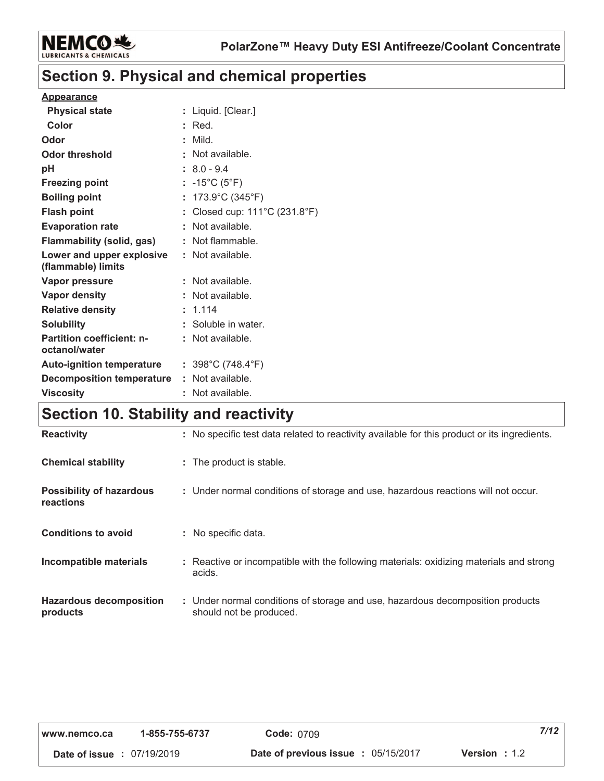

### **Section 9. Physical and chemical properties**

#### **Appearance**

| <b>Physical state</b>                             |   | Liquid. [Clear.]                       |
|---------------------------------------------------|---|----------------------------------------|
| Color                                             |   | Red.                                   |
| Odor                                              |   | Mild.                                  |
| Odor threshold                                    |   | Not available.                         |
| рH                                                |   | $8.0 - 9.4$                            |
| <b>Freezing point</b>                             |   | : -15°C (5°F)                          |
| <b>Boiling point</b>                              |   | 173.9°C (345°F)                        |
| <b>Flash point</b>                                |   | Closed cup: 111°C (231.8°F)            |
| <b>Evaporation rate</b>                           |   | Not available.                         |
| Flammability (solid, gas)                         |   | Not flammable.                         |
| Lower and upper explosive<br>(flammable) limits   |   | : Not available.                       |
| Vapor pressure                                    |   | Not available.                         |
| <b>Vapor density</b>                              |   | Not available.                         |
| <b>Relative density</b>                           |   | 1.114                                  |
| <b>Solubility</b>                                 | t | Soluble in water.                      |
| <b>Partition coefficient: n-</b><br>octanol/water |   | Not available.                         |
| <b>Auto-ignition temperature</b>                  |   | : $398^{\circ}$ C (748.4 $^{\circ}$ F) |
| <b>Decomposition temperature</b>                  |   | Not available.                         |
| <b>Viscosity</b>                                  |   | Not available.                         |

## Section 10. Stability and reactivity

| <b>Reactivity</b>                            | : No specific test data related to reactivity available for this product or its ingredients.              |
|----------------------------------------------|-----------------------------------------------------------------------------------------------------------|
| <b>Chemical stability</b>                    | : The product is stable.                                                                                  |
| <b>Possibility of hazardous</b><br>reactions | : Under normal conditions of storage and use, hazardous reactions will not occur.                         |
| <b>Conditions to avoid</b>                   | : No specific data.                                                                                       |
| Incompatible materials                       | : Reactive or incompatible with the following materials: oxidizing materials and strong<br>acids.         |
| <b>Hazardous decomposition</b><br>products   | : Under normal conditions of storage and use, hazardous decomposition products<br>should not be produced. |

| www.nemco.ca                      | 1-855-755-6737 | <b>Code: 0709</b>                        |                        | 7/12 |
|-----------------------------------|----------------|------------------------------------------|------------------------|------|
| <b>Date of issue : 07/19/2019</b> |                | Date of previous issue $\div$ 05/15/2017 | <b>Version</b> : $1.2$ |      |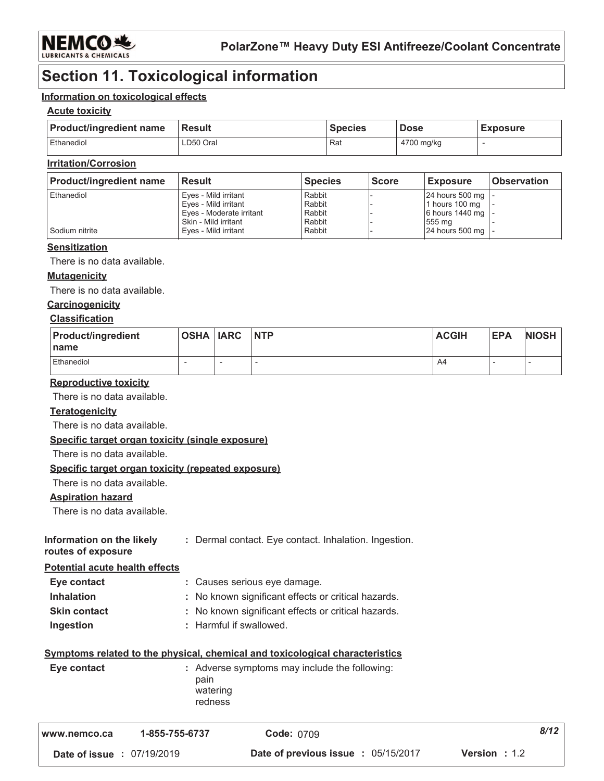

### **Section 11. Toxicological information**

#### Information on toxicological effects

#### **Acute toxicity**

| <b>Product/ingredient name</b> | <b>∣Result</b> | Species | <b>Dose</b> | <b>Exposure</b> |
|--------------------------------|----------------|---------|-------------|-----------------|
| Ethanediol                     | LD50 Oral      | Rat     | 4700 mg/kg  |                 |

### **Irritation/Corrosion**

| <b>Product/ingredient name</b> | <b>Result</b>            | <b>Species</b> | <b>Score</b> | <b>Exposure</b>     | <b>Observation</b> |
|--------------------------------|--------------------------|----------------|--------------|---------------------|--------------------|
| <b>Ethanediol</b>              | Eyes - Mild irritant     | Rabbit         |              | 24 hours 500 mg   - |                    |
|                                | Eves - Mild irritant     | Rabbit         |              | 1 hours 100 mg      |                    |
|                                | Eyes - Moderate irritant | Rabbit         |              | 6 hours 1440 mg   - |                    |
|                                | Skin - Mild irritant     | Rabbit         |              | 555 ma              |                    |
| Sodium nitrite                 | Eves - Mild irritant     | Rabbit         |              | 24 hours 500 mg   - |                    |

#### **Sensitization**

There is no data available.

#### **Mutagenicity**

There is no data available.

#### Carcinogenicity

#### **Classification**

| <b>Product/ingredient</b><br><b>Iname</b> | OSHA IARC INTP |   | <b>ACGIH</b> | <b>EPA</b> | <b>NIOSH</b> |
|-------------------------------------------|----------------|---|--------------|------------|--------------|
| Ethanediol                                | -              | - | A4           | --         |              |

#### **Reproductive toxicity**

There is no data available.

#### **Teratogenicity**

There is no data available.

#### Specific target organ toxicity (single exposure)

There is no data available.

#### Specific target organ toxicity (repeated exposure)

There is no data available.

#### **Aspiration hazard**

There is no data available.

| Information on the likely | : Dermal contact. Eye contact. Inhalation. Ingestion. |
|---------------------------|-------------------------------------------------------|
| routes of exposure        |                                                       |

**Potential acute health effects** 

| Eye contact         | : Causes serious eye damage.                       |
|---------------------|----------------------------------------------------|
| <b>Inhalation</b>   | : No known significant effects or critical hazards |
| <b>Skin contact</b> | : No known significant effects or critical hazards |
| Ingestion           | : Harmful if swallowed.                            |

### Symptoms related to the physical, chemical and toxicological characteristics

| Eye contact | : Adverse symptoms may include the following:<br>pain<br>watering |
|-------------|-------------------------------------------------------------------|
|             | redness                                                           |

| l www.nemco.ca                    | 1-855-755-6737 | <b>Code: 0709</b>                          | 8/12                 |
|-----------------------------------|----------------|--------------------------------------------|----------------------|
| <b>Date of issue : 07/19/2019</b> |                | <b>Date of previous issue : 05/15/2017</b> | <b>Version</b> : 1.2 |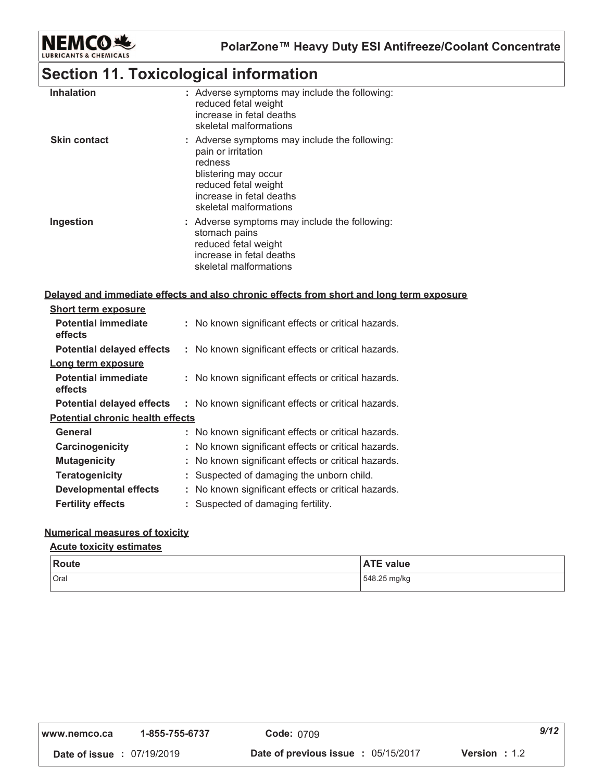

### **Section 11. Toxicological information**

| <b>Inhalation</b>   | : Adverse symptoms may include the following:<br>reduced fetal weight<br>increase in fetal deaths<br>skeletal malformations                                                          |
|---------------------|--------------------------------------------------------------------------------------------------------------------------------------------------------------------------------------|
| <b>Skin contact</b> | : Adverse symptoms may include the following:<br>pain or irritation<br>redness<br>blistering may occur<br>reduced fetal weight<br>increase in fetal deaths<br>skeletal malformations |
| Ingestion           | : Adverse symptoms may include the following:<br>stomach pains<br>reduced fetal weight<br>increase in fetal deaths<br>skeletal malformations                                         |

#### <u>**Delayed and immediate effects and also chronic effects from short and long term exposure</u></u>**

| <b>Short term exposure</b>              |                                                     |
|-----------------------------------------|-----------------------------------------------------|
| <b>Potential immediate</b><br>effects   | No known significant effects or critical hazards.   |
| <b>Potential delayed effects</b>        | : No known significant effects or critical hazards. |
| Long term exposure                      |                                                     |
| <b>Potential immediate</b><br>effects   | : No known significant effects or critical hazards. |
| <b>Potential delayed effects</b>        | : No known significant effects or critical hazards. |
| <b>Potential chronic health effects</b> |                                                     |
| General                                 | : No known significant effects or critical hazards. |
| Carcinogenicity                         | No known significant effects or critical hazards.   |
| <b>Mutagenicity</b>                     | No known significant effects or critical hazards.   |
| <b>Teratogenicity</b>                   | Suspected of damaging the unborn child.             |
| <b>Developmental effects</b>            | No known significant effects or critical hazards.   |
| <b>Fertility effects</b>                | Suspected of damaging fertility.                    |

#### <u>Numerical measures of toxicity</u>

#### <u>**<u>Acute toxicity estimates</u>**</u>

| <b>Route</b> | <b>ATE value</b> |
|--------------|------------------|
| Oral         | 548.25 mg/kg     |

| www.nemco.ca                      | 1-855-755-6737 | <b>Code: 0709</b>                          | 9/12                   |
|-----------------------------------|----------------|--------------------------------------------|------------------------|
| <b>Date of issue : 07/19/2019</b> |                | <b>Date of previous issue : 05/15/2017</b> | <b>Version</b> : $1.2$ |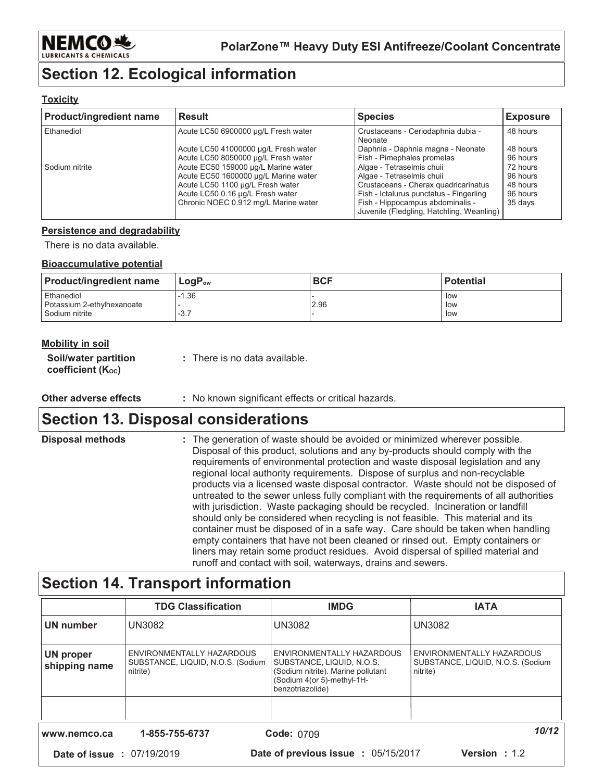

### **Section 12. Ecological information**

#### **Toxicity**

| <b>Product/ingredient name</b> | <b>Result</b>                                                                                                                                                                               | <b>Species</b>                                                                                                                                                                                                             | <b>Exposure</b>                                         |
|--------------------------------|---------------------------------------------------------------------------------------------------------------------------------------------------------------------------------------------|----------------------------------------------------------------------------------------------------------------------------------------------------------------------------------------------------------------------------|---------------------------------------------------------|
| Ethanediol                     | Acute LC50 6900000 µg/L Fresh water                                                                                                                                                         | Crustaceans - Ceriodaphnia dubia -<br>Neonate                                                                                                                                                                              | 48 hours                                                |
|                                | Acute LC50 41000000 µg/L Fresh water<br>Acute LC50 8050000 µg/L Fresh water                                                                                                                 | Daphnia - Daphnia magna - Neonate<br>Fish - Pimephales promelas                                                                                                                                                            | 48 hours<br>96 hours                                    |
| Sodium nitrite                 | Acute EC50 159000 µg/L Marine water<br>Acute EC50 1600000 µg/L Marine water<br>Acute LC50 1100 µg/L Fresh water<br>Acute LC50 0.16 µg/L Fresh water<br>Chronic NOEC 0.912 mg/L Marine water | Algae - Tetraselmis chuii<br>Algae - Tetraselmis chuii<br>Crustaceans - Cherax quadricarinatus<br>Fish - Ictalurus punctatus - Fingerling<br>Fish - Hippocampus abdominalis -<br>Juvenile (Fledgling, Hatchling, Weanling) | 72 hours<br>96 hours<br>48 hours<br>96 hours<br>35 days |

### **Persistence and degradability**

There is no data available.

#### **Bioaccumulative potential**

| <b>Product/ingredient name</b> | $\mathsf{Loa}\mathsf{P}_{\mathsf{ow}}$ | <b>BCF</b> | <b>Potential</b> |
|--------------------------------|----------------------------------------|------------|------------------|
| Ethanediol                     | $-1.36$                                |            | low              |
| Potassium 2-ethylhexanoate     |                                        | 2.96       | low              |
| Sodium nitrite                 | $-3.1$                                 |            | low              |

| <u>Mobility in soil</u>                                |                               |
|--------------------------------------------------------|-------------------------------|
| Soil/water partition<br>coefficient (K <sub>oc</sub> ) | : There is no data available. |

## **Section 13. Disposal considerations**

| <b>Disposal methods</b> | : The generation of waste should be avoided or minimized wherever possible.<br>Disposal of this product, solutions and any by-products should comply with the<br>requirements of environmental protection and waste disposal legislation and any<br>regional local authority requirements. Dispose of surplus and non-recyclable<br>products via a licensed waste disposal contractor. Waste should not be disposed of<br>untreated to the sewer unless fully compliant with the requirements of all authorities<br>with jurisdiction. Waste packaging should be recycled. Incineration or landfill<br>should only be considered when recycling is not feasible. This material and its<br>container must be disposed of in a safe way. Care should be taken when handling<br>empty containers that have not been cleaned or rinsed out. Empty containers or<br>liners may retain some product residues. Avoid dispersal of spilled material and |
|-------------------------|-------------------------------------------------------------------------------------------------------------------------------------------------------------------------------------------------------------------------------------------------------------------------------------------------------------------------------------------------------------------------------------------------------------------------------------------------------------------------------------------------------------------------------------------------------------------------------------------------------------------------------------------------------------------------------------------------------------------------------------------------------------------------------------------------------------------------------------------------------------------------------------------------------------------------------------------------|
|                         | runoff and contact with soil, waterways, drains and sewers.                                                                                                                                                                                                                                                                                                                                                                                                                                                                                                                                                                                                                                                                                                                                                                                                                                                                                     |

### **Section 14. Transport information**

|                                   | <b>TDG Classification</b>                                                  | <b>IMDG</b>                                                                                                                                    | <b>IATA</b>                                                                |
|-----------------------------------|----------------------------------------------------------------------------|------------------------------------------------------------------------------------------------------------------------------------------------|----------------------------------------------------------------------------|
| <b>UN number</b>                  | <b>UN3082</b>                                                              | <b>UN3082</b>                                                                                                                                  | <b>UN3082</b>                                                              |
| <b>UN proper</b><br>shipping name | ENVIRONMENTALLY HAZARDOUS<br>SUBSTANCE, LIQUID, N.O.S. (Sodium<br>nitrite) | ENVIRONMENTALLY HAZARDOUS<br>SUBSTANCE, LIQUID, N.O.S.<br>(Sodium nitrite). Marine pollutant<br>(Sodium 4(or 5)-methyl-1H-<br>benzotriazolide) | ENVIRONMENTALLY HAZARDOUS<br>SUBSTANCE, LIQUID, N.O.S. (Sodium<br>nitrite) |
|                                   |                                                                            |                                                                                                                                                |                                                                            |
| www.nemco.ca                      | 1-855-755-6737                                                             | <b>Code: 0709</b>                                                                                                                              | 10/12                                                                      |
| <b>Date of issue : 07/19/2019</b> |                                                                            | Date of previous issue : 05/15/2017                                                                                                            | <b>Version</b> : 1.2                                                       |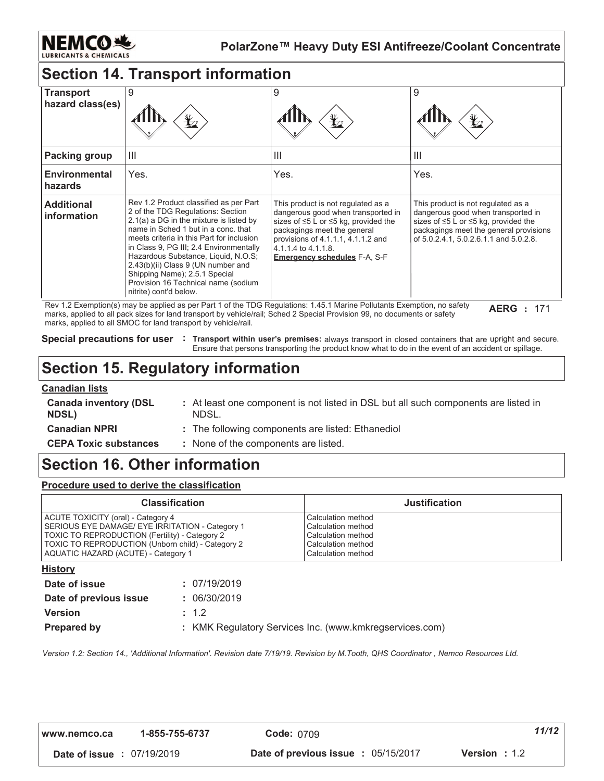

### **Section 14. Transport information**

| <b>Transport</b><br>hazard class(es) | 9                                                                                                                                                                                                                                                                                                                                                                                                                                    | 9<br>$\bigstar$                                                                                                                                                                                                                                                 | 9<br>¥2                                                                                                                                                                                                          |
|--------------------------------------|--------------------------------------------------------------------------------------------------------------------------------------------------------------------------------------------------------------------------------------------------------------------------------------------------------------------------------------------------------------------------------------------------------------------------------------|-----------------------------------------------------------------------------------------------------------------------------------------------------------------------------------------------------------------------------------------------------------------|------------------------------------------------------------------------------------------------------------------------------------------------------------------------------------------------------------------|
| Packing group                        | $\mathbf{III}$                                                                                                                                                                                                                                                                                                                                                                                                                       | $\mathbf{III}$                                                                                                                                                                                                                                                  | Ш                                                                                                                                                                                                                |
| <b>Environmental</b><br>hazards      | Yes.                                                                                                                                                                                                                                                                                                                                                                                                                                 | Yes.                                                                                                                                                                                                                                                            | Yes.                                                                                                                                                                                                             |
| <b>Additional</b><br>information     | Rev 1.2 Product classified as per Part<br>2 of the TDG Regulations: Section<br>2.1(a) a DG in the mixture is listed by<br>name in Sched 1 but in a conc. that<br>meets criteria in this Part for inclusion<br>in Class 9, PG III; 2.4 Environmentally<br>Hazardous Substance, Liquid, N.O.S;<br>2.43(b)(ii) Class 9 (UN number and<br>Shipping Name); 2.5.1 Special<br>Provision 16 Technical name (sodium<br>nitrite) cont'd below. | This product is not regulated as a<br>dangerous good when transported in<br>sizes of $\leq 5$ L or $\leq 5$ kg, provided the<br>packagings meet the general<br>provisions of 4.1.1.1, 4.1.1.2 and<br>4.1.1.4 to 4.1.1.8.<br><b>Emergency schedules F-A, S-F</b> | This product is not regulated as a<br>dangerous good when transported in<br>sizes of $\leq 5$ L or $\leq 5$ kg, provided the<br>packagings meet the general provisions<br>of 5.0.2.4.1, 5.0.2.6.1.1 and 5.0.2.8. |

Rev 1.2 Exemption(s) may be applied as per Part 1 of the TDG Regulations: 1.45.1 Marine Pollutants Exemption, no safety marks, applied to all pack sizes for land transport by vehicle/rail; Sched 2 Special Provision 99, no documents or safety marks, applied to all SMOC for land transport by vehicle/rail.

**AERG** : 171

Special precautions for user : Transport within user's premises: always transport in closed containers that are upright and secure. Ensure that persons transporting the product know what to do in the event of an accident or spillage.

### **Section 15. Regulatory information**

#### **Canadian lists**

| -----------------<br><b>Canada inventory (DSL</b><br><b>NDSL)</b> | : At least one component is not listed in DSL but all such components are listed in<br>NDSL. |
|-------------------------------------------------------------------|----------------------------------------------------------------------------------------------|
| <b>Canadian NPRI</b>                                              | : The following components are listed: Ethanediol                                            |
| <b>CEPA Toxic substances</b>                                      | : None of the components are listed.                                                         |

### **Section 16. Other information**

Procedure used to derive the classification

| <b>Classification</b>                             | <b>Justification</b> |
|---------------------------------------------------|----------------------|
| ACUTE TOXICITY (oral) - Category 4                | l Calculation method |
| SERIOUS EYE DAMAGE/ EYE IRRITATION - Category 1   | Calculation method   |
| TOXIC TO REPRODUCTION (Fertility) - Category 2    | l Calculation method |
| TOXIC TO REPRODUCTION (Unborn child) - Category 2 | Calculation method   |
| AQUATIC HAZARD (ACUTE) - Category 1               | Calculation method   |

| <u>History</u>         |                                                         |
|------------------------|---------------------------------------------------------|
| Date of issue          | : 07/19/2019                                            |
| Date of previous issue | : 06/30/2019                                            |
| <b>Version</b>         | $\pm$ 1.2                                               |
| <b>Prepared by</b>     | : KMK Regulatory Services Inc. (www.kmkregservices.com) |
|                        |                                                         |

Version 1.2: Section 14., 'Additional Information'. Revision date 7/19/19. Revision by M.Tooth, QHS Coordinator, Nemco Resources Ltd.

| l www.nemco.ca                    | 1-855-755-6737 | <b>Code: 0709</b>                          | 11/12                  |
|-----------------------------------|----------------|--------------------------------------------|------------------------|
| <b>Date of issue : 07/19/2019</b> |                | <b>Date of previous issue : 05/15/2017</b> | <b>Version</b> : $1.2$ |